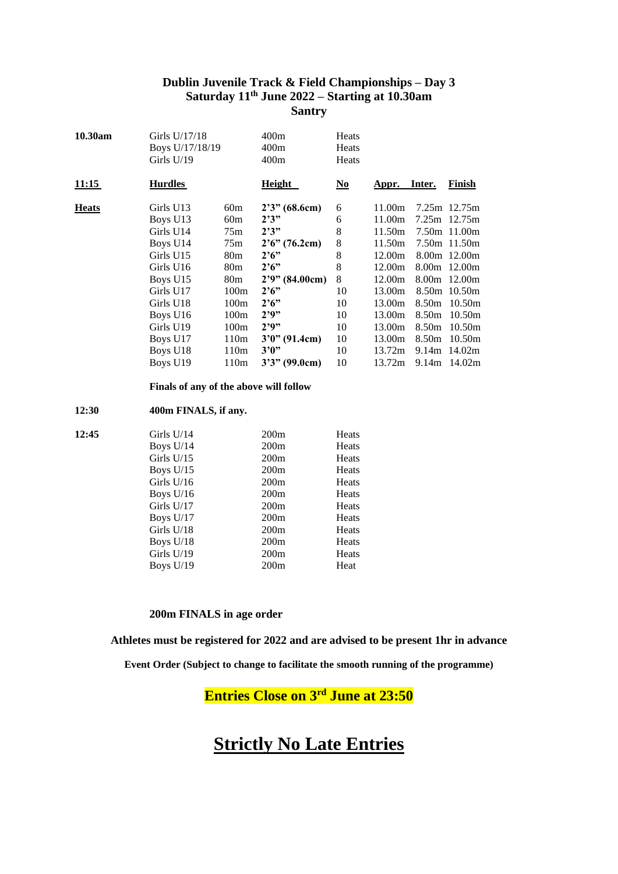### **Dublin Juvenile Track & Field Championships – Day 3 Saturday 11 th June 2022 – Starting at 10.30am Santry**

| 10.30am      | Girls U/17/18<br>Boys U/17/18/19<br>Girls $U/19$ |                  | 400m<br>400m<br>400m | Heats<br>Heats<br>Heats   |        |                   |                |
|--------------|--------------------------------------------------|------------------|----------------------|---------------------------|--------|-------------------|----------------|
| 11:15        | <b>Hurdles</b>                                   |                  | Height               | $\underline{\mathrm{No}}$ | Appr.  | Inter.            | Finish         |
| <b>Heats</b> | Girls U13                                        | 60m              | 2'3'' (68.6cm)       | 6                         | 11.00m |                   | 7.25m 12.75m   |
|              | Boys U13                                         | 60m              | 2'3''                | 6                         | 11.00m |                   | 7.25m 12.75m   |
|              | Girls U14                                        | 75m              | 2'3''                | 8                         | 11.50m |                   | 7.50m 11.00m   |
|              | Boys U14                                         | 75m              | 2'6''(76.2cm)        | 8                         | 11.50m |                   | 7.50m 11.50m   |
|              | Girls U15                                        | 80 <sub>m</sub>  | $2^{6}$              | 8                         | 12.00m |                   | 8.00m 12.00m   |
|              | Girls U16                                        | 80 <sub>m</sub>  | $2^{6}$              | 8                         | 12.00m |                   | 8.00m 12.00m   |
|              | Boys U15                                         | 80 <sub>m</sub>  | 2'9'' (84.00cm)      | 8                         | 12.00m |                   | 8.00m 12.00m   |
|              | Girls U17                                        | 100m             | $2^{6}$              | 10                        | 13.00m |                   | 8.50m 10.50m   |
|              | Girls U18                                        | 100m             | $2^{6}$              | 10                        | 13.00m | 8.50m             | 10.50m         |
|              | Boys U <sub>16</sub>                             | 100m             | 2'9''                | 10                        | 13.00m | 8.50m             | 10.50m         |
|              | Girls U19                                        | 100m             | 2'9''                | 10                        | 13.00m | 8.50 <sub>m</sub> | 10.50m         |
|              | Boys U <sub>17</sub>                             | 110m             | $3'0''$ (91.4cm)     | 10                        | 13.00m | 8.50m             | 10.50m         |
|              | Boys U <sub>18</sub>                             | 110m             | 3'0''                | 10                        | 13.72m | 9.14m             | 14.02m         |
|              | Boys U <sub>19</sub>                             | 110 <sub>m</sub> | $3'3''$ (99.0cm)     | 10                        | 13.72m |                   | $9.14m$ 14.02m |
|              |                                                  |                  |                      |                           |        |                   |                |

**Finals of any of the above will follow**

#### **12:30 400m FINALS, if any.**

| 12:45 | Girls $U/14$ | 200m             | Heats        |
|-------|--------------|------------------|--------------|
|       | Boys $U/14$  | 200m             | Heats        |
|       | Girls $U/15$ | 200m             | Heats        |
|       | Boys $U/15$  | 200 <sub>m</sub> | Heats        |
|       | Girls $U/16$ | 200m             | Heats        |
|       | Boys $U/16$  | 200m             | Heats        |
|       | Girls $U/17$ | 200m             | Heats        |
|       | Boys $U/17$  | 200m             | Heats        |
|       | Girls $U/18$ | 200m             | <b>Heats</b> |
|       | Boys $U/18$  | 200 <sub>m</sub> | Heats        |
|       | Girls $U/19$ | 200m             | Heats        |
|       | Boys $U/19$  | 200m             | Heat         |
|       |              |                  |              |

#### **200m FINALS in age order**

**Athletes must be registered for 2022 and are advised to be present 1hr in advance**

**Event Order (Subject to change to facilitate the smooth running of the programme)**

## **Entries Close on 3rd June at 23:50**

# **Strictly No Late Entries**